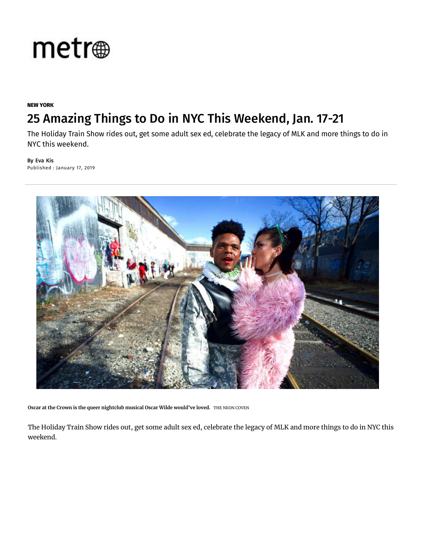

#### **NEW YORK**

#### [25 Amazing Things to Do in NYC This Weekend, Jan. 17-21](https://adclick.g.doubleclick.net/pcs/click?xai=AKAOjstgrH36ZgNSMT4lHvLePRxh5p9ncgvRIpwp6OgH2vd6mZHSokAHjLMvHAL0tIjayZY8-lVYWJJXkJ0_mWJZrUq3mU5NDWazIDBRiDoI_KhiIxE_JK7mmtLVMJ7YOcwYZ9Wrcv2lOHvDgFoKMZ7KwP3w0TdJo8Fs8YX1pOglSNJ-HaVTXixsq-5sKN5ziD8fw-t-RhA4qyf-Q7zoytbNRlxsH088hp1Su4v2uSlg4oZRmdxwLIK9QLGCW3SWg25Hyhgj7qtToMuUASgReJ7FfHmFUHo9yEAeAPd-VybDbl73SAl_BNgL1-B4oU9bjYpx2gjzLy84mFVQoH6I6sxcsH0QLQC5GMkEJYx8dxQF8yz_TMt1ruvqUWzXodUR3BE4MP7YYUQRmGSR81eI-MK2P5o4myuA345RcUP2QHxWAOvdV0ucTKh-RhdXNYrS03LuvPYtbTwoQGs1oExXWJjzxJQRATM4HmKZNTU7mk4Ijhn2HQpiZdMecbUTmmiq78LfE_zRuQQwe6bzvJoc_7g82r_6-K5jpvmoZ36aueraHSOwIDJdusGwbqMmqTZbX8t74yUUXkPoKARjU3EXFcCHtiZSFc8ANfODtlmelpGkdCKco97AslvxxmdCZeDVdIiA_4aWI8a1H0Dw8FklhL24OjdowJvflUPE6hJlO_eGPy71ssNbhaYO82YR6S6rxd_z4EYwcj6Uyc3n7a_9wtxdoL9r4BsiPtig6bpZrAGfmyWdrgO760QhtjuW9RwUx0F3Yc3T5bxC3ONtSVpboQefT8pZ1bfj6pwmDAv6Qd5hY6qF6825yqXmNs-lTr-0CBqGotwNxGblcRbSGG0C14GNTPV-WqM4jTf84ISxlwS5-G2wkMCjNGjgGI84GoFDMDT_QbE6mtzVnHOkthjA5Iqa9kk4Sr_cAZRE5fOU8j53E0YKJz3wfURjQb0N0h2tr9EUHJRafftx-82wbX6rq6zx12PvCECmUg2VLip8_PqH8X-HpaYmjFI_-geemRPPa-fGNJ6sRUEsoA&sai=AMfl-YSyn0OkWSQvnMQhpJewsYkk3eJEJSeXZQGI7O55pyD6EZTO68yQYpIpSeK2EPzaUW1rUFCul4_oqUI5QDWwBLo5BLCdrtj93FrX7DLL4uYMydjT5wjuiWh4d4Br9tkuRHgh8oZ0OW_o3zD9T1WDDbWWthWOZ5urC5dIVUcEkAZpSyw&sig=Cg0ArKJSzCYT8tDbA3uu&urlfix=1&adurl=https://d.agkn.com/pixel/2423/%3Fche%3D2582383997%26col%3D22204309,4908354,238295376,435215934,111013513%26l0%3Dhttps://www.bloomingdales.com/b/campaigns/heart-of-ny/beauty%3Fcm_mmc%3DDisplay-_-DBM-_-Network-_-Beauty59thSt_012018)

The Holiday Train Show rides out, get some adult sex ed, celebrate the legacy of MLK and more things to do in [NYC this wee](https://www.metro.us/)kend.

By Eva Kis [Published : January 17, 2019](https://www.metro.us/main-category/new-york-0)



Oscar at the Crown is the queer nightclub musical Oscar Wilde would've loved. THE NEON COVEN

The Holiday Train Show rides out, get some adult sex ed, celebrate the legacy of MLK and more things to do in NYC this weekend.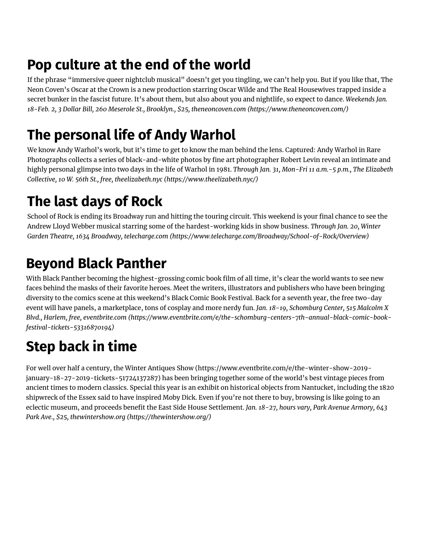### **Pop cu[lture at the end of the world](https://googleads.g.doubleclick.net/pcs/click?xai=AKAOjsshRKenWYGSglcUgM71wfMuSvbLNiEDm4RMusfaRUls1ejGzgS8h8gSJagrOF9GQkuQsBHMPpugxl9sD2pYFElH04NwzeOw7djhRQc5Vn1mBCyOjNC-V6TBD94M0Kpm2m7qugOmv7bOh5E_kzL4Lhb8e0sYnWlj8oWITyrxhq8wS7cVaLQVltq0fCs8jLiwYf65QGZ_xWHR0gEJRzA4opw_wMN6AvNKGyqSEPJTi0S7ogUYp9UJn1dty5Yvl-mtkOjsB7SD&sai=AMfl-YTj39ennTtzPlwf3eCe7SAZvHGz8Pvz8h2DamgS118MnTm2Foy90_nspC_vSSc3xBdA4Az0FyTak8Fj3UZ8yvjoKR18Z07WoC6EgeXODetj6kDoC9PCNttxiNU&sig=Cg0ArKJSzLsRMO2STzAh&adurl=https://www.esc.edu/openhouse/%3Futm_source%3DACQ_METRO%26utm_medium%3DDISPLAY%26utm_term%3DMC%26utm_campaign%3DFY18-19SWOH%26utm_content%3D01172019%E2%80%8B&nx=CLICK_X&ny=CLICK_Y)**

If the phrase "immersive queer nightclub musical" doesn't get you tingling, we can't help you. But if you like that, The Neon Coven's Oscar at the Crown is a new production starring Oscar Wilde and The Real Housewives trapped inside a secret bunker in the fascist future. It's about them, but also about you and nightlife, so expect to dance. *Weekends Jan. 18-Feb. 2, 3 Dollar Bill, 260 Meserole St., Brooklyn., \$25, theneoncoven.com (https://www.theneoncoven.com/)*

## **The personal life of Andy [Warhol](https://www.theneoncoven.com/)**

We know Andy Warhol's work, but it's time to get to know the man behind the lens. Captured: Andy Warhol in Rare Photographs collects a series of black-and-white photos by fine art photographer Robert Levin reveal an intimate and [highly personal glimpse into two days in the life of Warhol in 1981.](https://www.metro.us/things-to-do/new-york/evil-twin-nyc-pop-up-taproom-nowadays) *Through Jan. 31, Mon-Fri 11 a.m.-5 p.m., The Elizabeth Collective, 10 W. 56th St., free, theelizabeth.nyc (https://www.theelizabeth.nyc/)*

### **[The last days of Rock](https://www.metro.us/things-to-do/new-york/where-to-watch-the-super-bowl-nyc-2019-party-guide)**

School of Rock is ending its Broadway run and hitting the touring circuit. This weekend is your final chance to see the Andrew Lloyd Webber musical starring some of the hardest-working kids in show business. *Through Jan. 20, Winter Garden Theatre, 1634 Broadway, telecharge.com (https://www.telecharge.com/Broadway/School-of-Rock/Overview)*

## **Beyond Black Panther**

With Black Panther becoming the highest-grossing comic book film of all time, it's clear the world wants to see new faces behind the masks of their favorite heroes. Meet the writers, illustrators and publishers who have been bringing diversity to the comics scene at this weekend's Black Comic Book Festival. Back for a seventh year, the free two-day event will have panels, a marketplace, tons of cosplay and more nerdy fun. *Jan. 18-19, Schomburg Center, 515 Malcolm X Blvd., Harlem, free, eventbrite.com (https://www.eventbrite.com/e/the-schomburg-centers-7th-annual-black-comic-bookfestival-tickets-53316870194)*

# **Step back in ti[me](https://www.telecharge.com/Broadway/School-of-Rock/Overview)**

For well over half a century, the Winter Antiques Show (https://www.eventbrite.com/e/the-winter-show-2019 january-18-2[7-2019-tickets-51724137287\) has been bringing together some of the world's best vintage pie](https://adclick.g.doubleclick.net/pcs/click?xai=AKAOjstCYdUM174FF_-0NKlhFEK436wtU6JYwhtlvswQcnSFusqwJ2DZ3oR3K66VLH8v19mU1TThiMaBur_GZdMZ89I2CC579TkgjAliiWdqgbbhBphevtqkzNu97y326ZZEoFsM1Q_kzS5MHB9VJKygH-S7AICe6gWxoazxiqM6dCg44lJTUZSQwBQXOD6B-dRgGE0aCUPTZOIfTCjbBKO2WEVEtvc6-kNnl7TmnTgrRmzUIM1l7xxTn0jnS6EZZZY0VDN_W5zQ7L-xUcfHc1CePe8n97NyJZYh41cFGn7CtojNHhKPTvz5ZN_Da2B_-UEOsyBqiGnedob-2GXtN7PROCnuFSZjvJw8CQYdJclfo0zhJDkkYGRVn8A4gSF1MibHrbPu-eB60n2KGWc5IVuxRNlGoWF4poPnCCz8a4z_NCmvU33_rRUhwPTmc-P-4RPUyGxbjZBxSAaW0wV1gxfkzghnK-uEeEe7X6KQp6GlXrOZhh7AD6aEHImNYp9a2-K9luqn9u29yvYx7C8MfeDW0CyrbRnF9POaygKjdq0rk6XPOZNTxTIMsVhmjg9CBFBmasxG2chMeAKy2rgHjLEbv1dGfPV04yvtiMrMA_RRvyNwtre0ZQQUlJQa0scZxoTaGEoZnF5IsnQnTEK5pMPkdVCe6Jpkv5y-lmdLzx_ODTdBu3Pk_xNnDjl6EGtw6d1HNIs_Widhrcnd0LyBTrAUUbuC-kNuyAntAZJQLSQpoIsjqVYvsKvcVL1iEz9fhMgNtIprMn-Hp9hsIQ-jx8G7l__Ez2H-hy4tv9huDNysNbbsg8D5R47QqAM-Fe66vMKRjSbaRgntNyn7W-vqxdJJ_1NwaL8c9PaODCFEWm_oR_bJx1LJiLyDWi1YrJWheTVjGeUN_SHhc2gEnbdKMKaRNaZOjZvJxpjjvcI7vPS5CSVzonAY1wGhqQeNGQqxop03P9898aY1l7vo2lhykAYHjtgT6xE9RZ9gODk4QEs_b7LHA44tTyYo66Y66FbrS4r9YrOsaDFsQw&sai=AMfl-YTHYz5weQHbg7c5SlOnmpqkS5qgq8LCYT_qVJS76ykvAocwLvJ88jLiEdROBFsV0k7JyjId-gEi49-WKCgcSz7YyR1oFZlf-891bX_Qc_zVs-K0K3Jh_NZr8t4GCNuxWf9c7v2ZxHfjukDepU7tzdg0af64Lq8PMp6pke04_Ie0URE&sig=Cg0ArKJSzOfMNLMp7_a9&urlfix=1&adurl=https://d.agkn.com/pixel/2423/%3Fche%3D3388940797%26col%3D22204309,4908354,237952685,435215931,111013507%26l0%3Dhttps://www.bloomingdales.com/b/campaigns/heart-of-ny/beauty%3Fcm_mmc%3DDisplay-_-DBM-_-Network-_-Beauty59thSt_012018)ces from ancient times to modern classics. Special this year is an exhibit on historical objects from Nantucket, including the 1820 shipwreck of the Essex said to have inspired Moby Dick. Even if you're not there to buy, browsing is like going to an eclectic museum, and proceeds benefit the East Side House Settlement. *Jan. 18-27, hours vary, Park Avenue Armory, 643 Park Ave., \$25, thewintershow.org (https://thewintershow.org/)*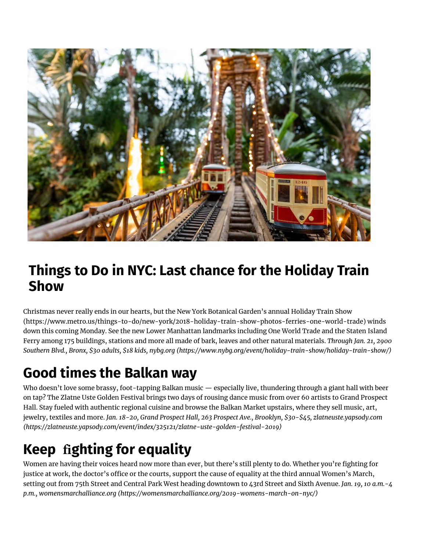

#### **Things to Do in NYC: Last chance for the Holiday Train Show**

Christmas never really ends in our hearts, but the New York Botanical Garden's annual Holiday Train Show (https://www.metro.us/things-to-do/new-york/2018-holiday-train-show-photos-ferries-one-world-trade) winds down this coming Monday. See the new Lower Manhattan landmarks including One World Trade and the Staten Island Ferry among 175 buildings, stations and more all made of bark, leaves and other natural materials. *Through Jan. 21, 2900 Southern Blvd., Bronx, \$30 adults, \$18 kids, nybg.org (https://www.nybg.org/event/holiday-train-show/holiday-train-show/)*

# **Good times the Balkan way**

Who doesn't love some brassy, foot-tapping Balkan music — especially live, thundering through a giant hall with beer on tap? The Zlatne Uste Golden Festival brings two days of rousing dance music from over 60 artists to Grand Prospect Hall. Stay fueled with authentic regional cuisine and browse the Balkan Market upstairs, where they sell music, art, jewelry, textiles and more. *Jan. 18-20, Grand Prospect Hall, 263 Prospect Ave., Brooklyn, \$30-\$45, zlatneuste.yapsody.com (https://zlatneuste.yapsody.com/event/index/325121/zlatne-uste-golden-festival-2019)*

# **Keep fighting for equality**

Women are having their voices heard now more than ever, but there's still plenty to do. Whether you're fighting for justice at work, the doctor's office or the courts, support the cause of equality at the third annual Women's March, setting out from 75th Street and Central Park West heading downtown to 43rd Street and Sixth Avenue. *Jan. 19, 10 a.m.-4 p.m., womensmarchalliance.org (https://womensmarchalliance.org/2019-womens-march-on-nyc/)*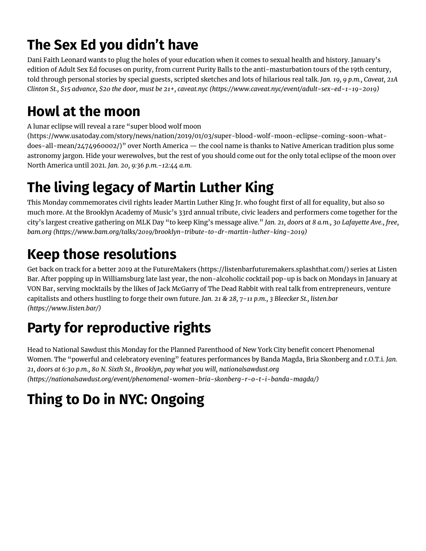## **The Sex Ed you didn't have**

Dani Faith Leonard wants to plug the hol[es of your education when it comes to sexual health and history. January's](https://www.nybg.org/event/holiday-train-show/holiday-train-show/)  edition of Adult Sex Ed focuses on purity, from current Purity Balls to the anti-masturbation tours of the 19th century, told through personal stories by special guests, scripted sketches and lots of hilarious real talk. *Jan. 19, 9 p.m., Caveat, 21A Clinton St., \$15 advance, \$20 the door, must be 21+, caveat.nyc (https://www.caveat.nyc/event/adult-sex-ed-1-19-2019)*

### **Howl at the moon**

A lunar eclipse will reveal a rare "super blood wolf moon

[\(https://www.usatoday.com/story/news/nation/2019/01/03/super-blood-wolf-moon-eclipse-coming-soon-what](https://zlatneuste.yapsody.com/event/index/325121/zlatne-uste-golden-festival-2019)does-all-mean/2474960002/)" over North America — the cool name is thanks to Native American tradition plus some astronomy jargon. Hide your werewolves, but the rest of you should come out for the only total eclipse of the moon over North America until 2021. *Jan. 20, 9:36 p.m.-12:44 a.m.*

# **The living legacy of Martin Luther King**

This Monday commemorates civil rights leader Martin Luther King Jr. who fought first of all for equality, but also so much more. At the Brooklyn Academy of Music's 33rd annual tribute, civic leaders and performers come together for the city's largest creative gathering on MLK Day "to keep King's message alive." *Jan. 21, doors at 8 a.m., 30 Lafayette Ave., free, bam.org (https://www.bam.org/talks/2019/brooklyn-tribute-to-dr-martin-luther-king-2019)*

# **Keep those resolutions**

Get back on track for a better 2019 at the Future[Makers \(https://listenbarfuturemakers.splashthat.com/\) series at L](https://www.caveat.nyc/event/adult-sex-ed-1-19-2019)isten Bar. After popping up in Williamsburg late last year, the non-alcoholic cocktail pop-up is back on Mondays in January at VON Bar, serving mocktails by the likes of Jack McGarry of The Dead Rabbit with real talk from entrepreneurs, venture capitalists and others hustling to forge their own future. *Jan. 21 & 28, 7-11 p.m., 3 Bleecker St., listen.bar (https://www.listen.bar/)*

# **[Party for reproductive rights](https://www.usatoday.com/story/news/nation/2019/01/03/super-blood-wolf-moon-eclipse-coming-soon-what-does-all-mean/2474960002/)**

Head to National Sawdust this Monday for the Planned Parenthood of New York City benefit concert Phenomenal Women. The "powerful and celebratory evening" features performances by Banda Magda, Bria Skonberg and r.O.T.i. *Jan. 21, doors at 6:30 p.m., 80 N. Sixth St., Brooklyn, pay what you will, nationalsawdust.org (https://nationalsawdust.org/event/phenomenal-women-bria-skonberg-r-o-t-i-banda-magda/)*

# **Thing to Do in NYC: Ongoing**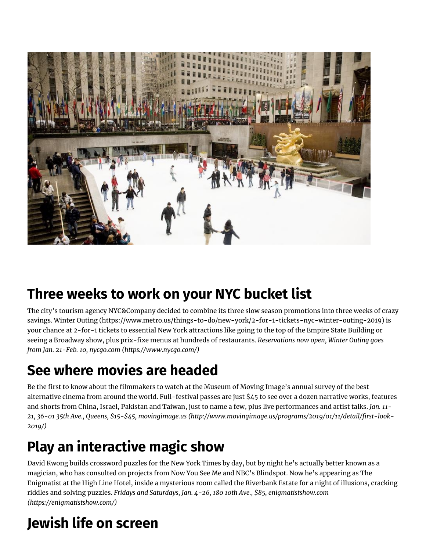

#### **Three weeks to work on your NYC bucket list**

The city's tourism agency NYC&Company decided to combine its three slow season promotions into three weeks of crazy savings. [Winter Outing \(https://www.metro.us/things-to-do/new-york/2-for-1-tickets-nyc-winter-outing-2019\)](https://www.metro.us/things-to-do/new-york/2-for-1-tickets-nyc-winter-outing-2019) is your chance at 2-for-1 tickets to essential New York attractions like going to the top of the Empire State Building or seeing a Broadway show, plus prix-fixe menus at hundreds of restaurants. *Reservations now open, Winter Outing goes from Jan. 21-Feb. 10, [nycgo.com \(https://www.nycgo.com/\)](https://www.nycgo.com/)*

#### **See where movies are headed**

Be the first to know about the filmmakers to watch at the Museum of Moving Image's annual survey of the best alternative cinema from around the world. Full-festival passes are just \$45 to see over a dozen narrative works, features and shorts from China, Israel, Pakistan and Taiwan, just to name a few, plus live performances and artist talks. *Jan. 11- [21, 36-01 35th Ave., Queens, \\$15-\\$45, movingimage.us \(http://www.movingimage.us/programs/2019/01/11/detail/rst-look-](http://www.movingimage.us/programs/2019/01/11/detail/first-look-2019/)2019/)*

## **Play an interactive magic show**

David Kwong builds crossword puzzles for the New York Times by day, but by night he's actually better known as a magician, who has consulted on projects from Now You See Me and NBC's Blindspot. Now he's appearing as The Enigmatist at the High Line Hotel, inside a mysterious room called the Riverbank Estate for a night of illusions, cracking riddles and solving puzzles. *[Fridays and Saturdays, Jan. 4-26, 180 10th Ave., \\$85, enigmatistshow.com](https://enigmatistshow.com/) (https://enigmatistshow.com/)*

# **Jewish life on screen**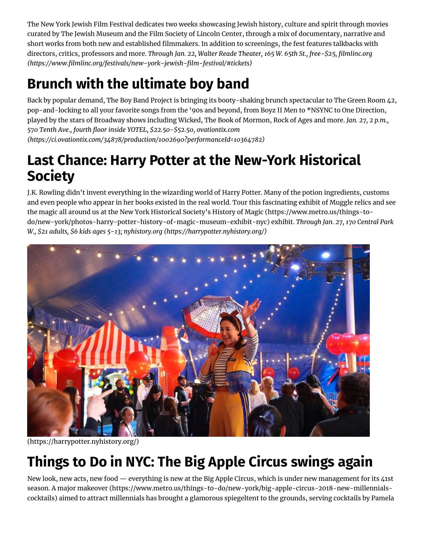The New York Jewish Film Festival dedicates two weeks showcasing Jewish history, culture and spirit through movies curated by The Jewish Museum and the Film Society of Lincoln Center, through a mix of documentary, narrative and short works from both new and established filmmakers. In addition to screenings, the fest features talkbacks with directors, critics, professors and more. *Through Jan. 22, Walter Reade Theater, 165 W. 65th St., free-\$25, lmlinc.org [\(https://www.lmlinc.org/festivals/new-york-jewish-lm-festival/#tickets\)](https://www.filmlinc.org/festivals/new-york-jewish-film-festival/#tickets)*

# **Brunch with the ultimate boy band**

Back by popular demand, The Boy Band Project is bringing its booty-shaking brunch spectacular to The Green Room 42, pop-and-locking to all your favorite songs from the '90s and beyond, from Boyz II Men to \*NSYNC to One Direction, played by the stars of Broadway shows including Wicked, The Book of Mormon, Rock of Ages and more. *Jan. 27, 2 p.m., 570 Tenth Ave., fourth oor inside YOTEL, \$22.50-\$52.50, ovationtix.com [\(https://ci.ovationtix.com/34878/production/1002690?performanceId=10364782\)](https://ci.ovationtix.com/34878/production/1002690?performanceId=10364782)*

#### **Last Chance: Harry Potter at the New-York Historical Society**

J.K. Rowling didn't invent everything in the wizarding world of Harry Potter. Many of the potion ingredients, customs and even people who appear in her books existed in the real world. Tour this fascinating exhibit of Muggle relics and see the magic all around us at the New York Historical Society's History of Magic (https://www.metro.us/things-to[do/new-york/photos-harry-potter-history-of-magic-museum-exhibit-nyc\)](https://www.metro.us/things-to-do/new-york/photos-harry-potter-history-of-magic-museum-exhibit-nyc) exhibit. *Through Jan. 27, 170 Central Park W., \$21 adults, \$6 kids ages 5-13; nyhistory.org [\(https://harrypotter.nyhistory.org/\)](https://harrypotter.nyhistory.org/)*



[\(https://harrypotter.nyhistory.org/\)](https://harrypotter.nyhistory.org/)

# **Things to Do in NYC: The Big Apple Circus swings again**

New look, new acts, new food — everything is new at the Big Apple Circus, which is under new management for its 41st season. A major makeover [\(https://www.metro.us/things-to-do/new-york/big-apple-circus-2018-new-millennials](https://www.metro.us/things-to-do/new-york/big-apple-circus-2018-new-millennials-cocktails)cocktails) aimed to attract millennials has brought a glamorous spiegeltent to the grounds, serving cocktails by Pamela